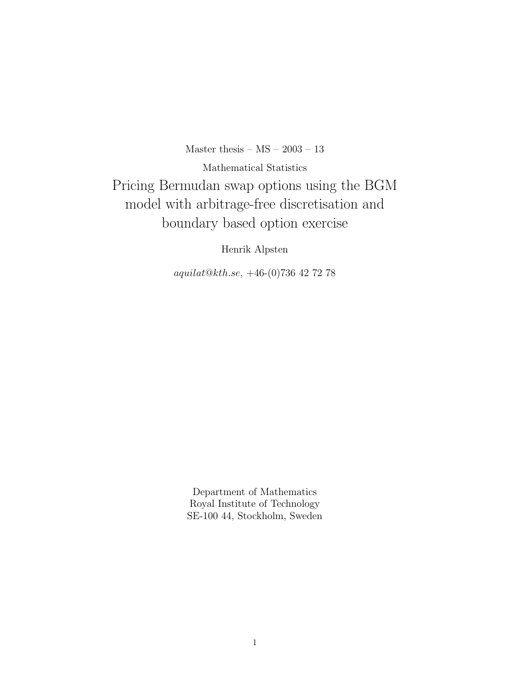Master thesis –  $MS - 2003 - 13$ 

Mathematical Statistics Pricing Bermudan swap options using the BGM model with arbitrage-free discretisation and boundary based option exercise

Henrik Alpsten

aquilat@kth.se, +46-(0)736 42 72 78

Department of Mathematics Royal Institute of Technology SE-100 44, Stockholm, Sweden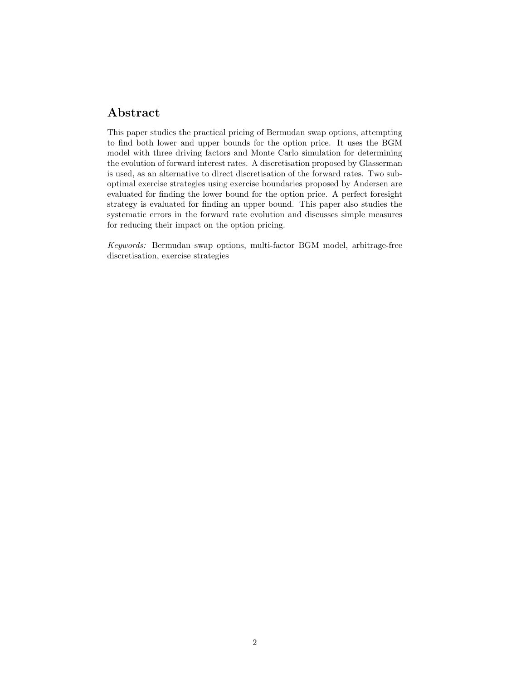## Abstract

This paper studies the practical pricing of Bermudan swap options, attempting to find both lower and upper bounds for the option price. It uses the BGM model with three driving factors and Monte Carlo simulation for determining the evolution of forward interest rates. A discretisation proposed by Glasserman is used, as an alternative to direct discretisation of the forward rates. Two suboptimal exercise strategies using exercise boundaries proposed by Andersen are evaluated for finding the lower bound for the option price. A perfect foresight strategy is evaluated for finding an upper bound. This paper also studies the systematic errors in the forward rate evolution and discusses simple measures for reducing their impact on the option pricing.

Keywords: Bermudan swap options, multi-factor BGM model, arbitrage-free discretisation, exercise strategies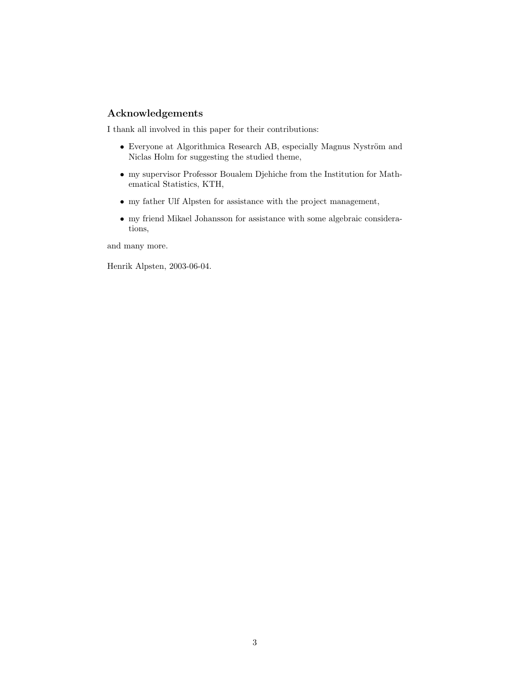#### Acknowledgements

I thank all involved in this paper for their contributions:

- $\bullet$  Everyone at Algorithmica Research AB, especially Magnus Nyström and Niclas Holm for suggesting the studied theme,
- my supervisor Professor Boualem Djehiche from the Institution for Mathematical Statistics, KTH,
- $\bullet\,$  my father Ulf Alpsten for assistance with the project management,
- my friend Mikael Johansson for assistance with some algebraic considerations,

and many more.

Henrik Alpsten, 2003-06-04.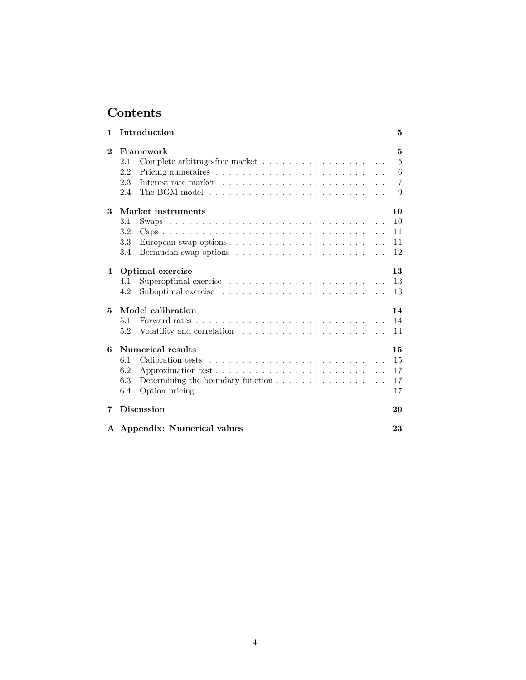## Contents

| 1              | Introduction                                                                                                                                                                                                      | 5                                               |
|----------------|-------------------------------------------------------------------------------------------------------------------------------------------------------------------------------------------------------------------|-------------------------------------------------|
| $\bf{2}$       | Framework<br>2.1<br>2.2<br>2.3<br>2.4                                                                                                                                                                             | 5<br>$\overline{5}$<br>6<br>$\overline{7}$<br>9 |
| 3              | Market instruments<br>3.1<br>3.2<br>3.3<br>3.4                                                                                                                                                                    | 10<br>10<br>11<br>11<br>12                      |
| $\overline{4}$ | Optimal exercise<br>Superoptimal exercise $\ldots \ldots \ldots \ldots \ldots \ldots \ldots \ldots$<br>4.1<br>4.2                                                                                                 | 13<br>13<br>13                                  |
| 5              | Model calibration<br>5.1<br>5.2<br>Volatility and correlation $\ldots \ldots \ldots \ldots \ldots \ldots \ldots$                                                                                                  | 14<br>14<br>14                                  |
| 6              | Numerical results<br>6.1<br>6.2<br>Determining the boundary function $\ldots \ldots \ldots \ldots \ldots \ldots$<br>6.3<br>Option pricing $\ldots \ldots \ldots \ldots \ldots \ldots \ldots \ldots \ldots$<br>6.4 | 15<br>15<br>17<br>17<br>17                      |
| 7              | <b>Discussion</b>                                                                                                                                                                                                 | 20                                              |
|                | A Appendix: Numerical values                                                                                                                                                                                      | 23                                              |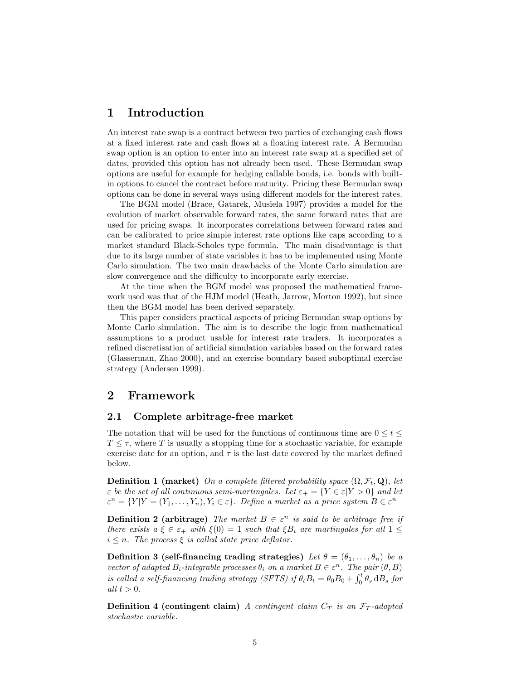## 1 Introduction

An interest rate swap is a contract between two parties of exchanging cash flows at a fixed interest rate and cash flows at a floating interest rate. A Bermudan swap option is an option to enter into an interest rate swap at a specified set of dates, provided this option has not already been used. These Bermudan swap options are useful for example for hedging callable bonds, i.e. bonds with builtin options to cancel the contract before maturity. Pricing these Bermudan swap options can be done in several ways using different models for the interest rates.

The BGM model (Brace, Gatarek, Musiela 1997) provides a model for the evolution of market observable forward rates, the same forward rates that are used for pricing swaps. It incorporates correlations between forward rates and can be calibrated to price simple interest rate options like caps according to a market standard Black-Scholes type formula. The main disadvantage is that due to its large number of state variables it has to be implemented using Monte Carlo simulation. The two main drawbacks of the Monte Carlo simulation are slow convergence and the difficulty to incorporate early exercise.

At the time when the BGM model was proposed the mathematical framework used was that of the HJM model (Heath, Jarrow, Morton 1992), but since then the BGM model has been derived separately.

This paper considers practical aspects of pricing Bermudan swap options by Monte Carlo simulation. The aim is to describe the logic from mathematical assumptions to a product usable for interest rate traders. It incorporates a refined discretisation of artificial simulation variables based on the forward rates (Glasserman, Zhao 2000), and an exercise boundary based suboptimal exercise strategy (Andersen 1999).

## 2 Framework

#### 2.1 Complete arbitrage-free market

The notation that will be used for the functions of continuous time are  $0 \leq t \leq$  $T \leq \tau$ , where T is usually a stopping time for a stochastic variable, for example exercise date for an option, and  $\tau$  is the last date covered by the market defined below.

**Definition 1 (market)** On a complete filtered probability space  $(\Omega, \mathcal{F}_t, \mathbf{Q})$ , let  $\varepsilon$  be the set of all continuous semi-martingales. Let  $\varepsilon_+ = \{Y \in \varepsilon | Y > 0\}$  and let  $\varepsilon^{n} = \{Y|Y = (Y_1, \ldots, Y_n), Y_i \in \varepsilon\}.$  Define a market as a price system  $B \in \varepsilon^{n}$ 

**Definition 2 (arbitrage)** The market  $B \in \varepsilon^n$  is said to be arbitrage free if there exists  $a \xi \in \varepsilon_+$  with  $\xi(0) = 1$  such that  $\xi B_i$  are martingales for all  $1 \leq$  $i \leq n$ . The process  $\xi$  is called state price deflator.

Definition 3 (self-financing trading strategies) Let  $\theta = (\theta_1, \dots, \theta_n)$  be a vector of adapted  $B_i$ -integrable processes  $\theta_i$  on a market  $B \in \varepsilon^n$ . The pair  $(\theta, B)$ is called a self-financing trading strategy (SFTS) if  $\theta_t B_t = \theta_0 B_0 + \int_0^t \theta_s \, dB_s$  for all  $t > 0$ .

**Definition 4 (contingent claim)** A contingent claim  $C_T$  is an  $\mathcal{F}_T$ -adapted stochastic variable.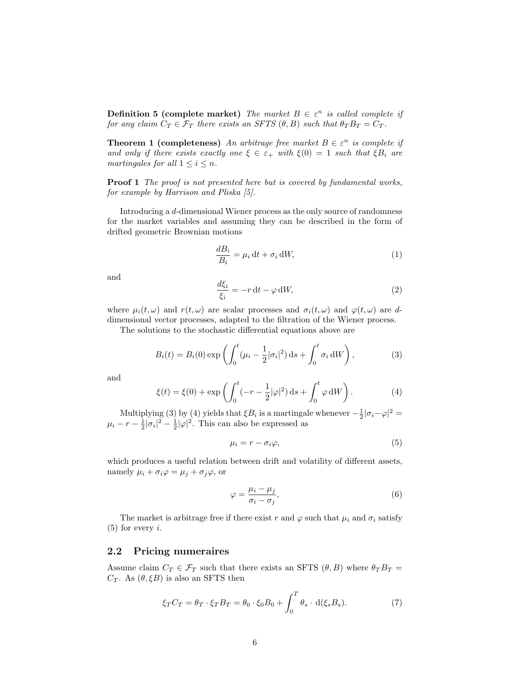**Definition 5 (complete market)** The market  $B \in \varepsilon^n$  is called complete if for any claim  $C_T \in \mathcal{F}_T$  there exists an SFTS  $(\theta, B)$  such that  $\theta_T B_T = C_T$ .

**Theorem 1 (completeness)** An arbitrage free market  $B \in \varepsilon^n$  is complete if and only if there exists exactly one  $\xi \in \varepsilon_+$  with  $\xi(0) = 1$  such that  $\xi B_i$  are martingales for all  $1 \leq i \leq n$ .

**Proof 1** The proof is not presented here but is covered by fundamental works, for example by Harrison and Pliska [5].

Introducing a d-dimensional Wiener process as the only source of randomness for the market variables and assuming they can be described in the form of drifted geometric Brownian motions

$$
\frac{dB_i}{B_i} = \mu_i dt + \sigma_i dW,
$$
\n(1)

and

$$
\frac{d\xi_i}{\xi_i} = -r \, \mathrm{d}t - \varphi \, \mathrm{d}W,\tag{2}
$$

where  $\mu_i(t, \omega)$  and  $r(t, \omega)$  are scalar processes and  $\sigma_i(t, \omega)$  and  $\varphi(t, \omega)$  are ddimensional vector processes, adapted to the filtration of the Wiener process.

The solutions to the stochastic differential equations above are

$$
B_i(t) = B_i(0) \exp\left(\int_0^t (\mu_i - \frac{1}{2}|\sigma_i|^2) ds + \int_0^t \sigma_i dW\right),
$$
 (3)

and

$$
\xi(t) = \xi(0) + \exp\left(\int_0^t (-r - \frac{1}{2}|\varphi|^2) \,ds + \int_0^t \varphi \,dW\right).
$$
 (4)

Multiplying (3) by (4) yields that  $\xi B_i$  is a martingale whenever  $-\frac{1}{2}|\sigma_i-\varphi|^2=$  $\mu_i - r - \frac{1}{2}|\sigma_i|^2 - \frac{1}{2}|\varphi|^2$ . This can also be expressed as

$$
\mu_i = r - \sigma_i \varphi,\tag{5}
$$

which produces a useful relation between drift and volatility of different assets, namely  $\mu_i + \sigma_i \varphi = \mu_j + \sigma_j \varphi$ , or

$$
\varphi = \frac{\mu_i - \mu_j}{\sigma_i - \sigma_j},\tag{6}
$$

The market is arbitrage free if there exist r and  $\varphi$  such that  $\mu_i$  and  $\sigma_i$  satisfy  $(5)$  for every *i*.

#### 2.2 Pricing numeraires

Assume claim  $C_T \in \mathcal{F}_T$  such that there exists an SFTS  $(\theta, B)$  where  $\theta_T B_T =$  $C_T$ . As  $(\theta, \xi B)$  is also an SFTS then

$$
\xi_T C_T = \theta_T \cdot \xi_T B_T = \theta_0 \cdot \xi_0 B_0 + \int_0^T \theta_s \cdot d(\xi_s B_s). \tag{7}
$$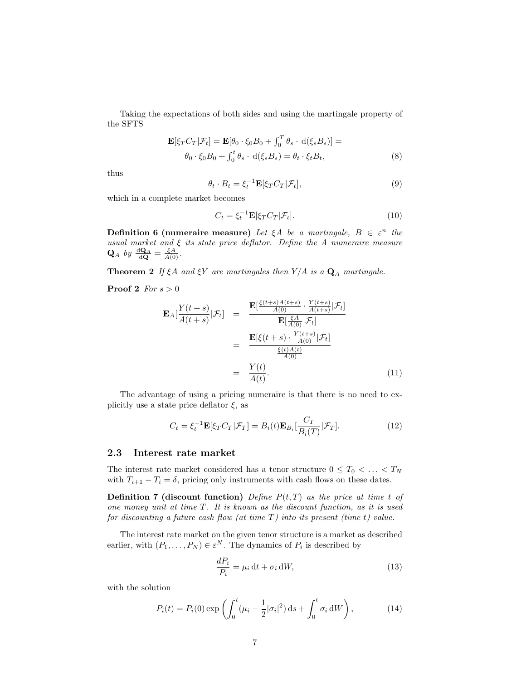Taking the expectations of both sides and using the martingale property of the SFTS

$$
\mathbf{E}[\xi_T C_T | \mathcal{F}_t] = \mathbf{E}[\theta_0 \cdot \xi_0 B_0 + \int_0^T \theta_s \cdot d(\xi_s B_s)] =
$$
  

$$
\theta_0 \cdot \xi_0 B_0 + \int_0^t \theta_s \cdot d(\xi_s B_s) = \theta_t \cdot \xi_t B_t,
$$
 (8)

thus

$$
\theta_t \cdot B_t = \xi_t^{-1} \mathbf{E} [\xi_T C_T | \mathcal{F}_t], \tag{9}
$$

which in a complete market becomes

$$
C_t = \xi_t^{-1} \mathbf{E} [\xi_T C_T | \mathcal{F}_t]. \tag{10}
$$

**Definition 6 (numeraire measure)** Let  $\xi A$  be a martingale,  $B \in \varepsilon^n$  the usual market and  $\xi$  its state price deflator. Define the  $A$  numeraire measure  $\mathbf{Q}_A$  by  $\frac{d\mathbf{Q}_A}{d\mathbf{Q}} = \frac{\xi A}{A(0)}$ .

**Theorem 2** If  $\xi A$  and  $\xi Y$  are martingales then  $Y/A$  is a  $\mathbf{Q}_A$  martingale.

**Proof 2** For  $s > 0$ 

$$
\mathbf{E}_{A}[\frac{Y(t+s)}{A(t+s)}|\mathcal{F}_{t}] = \frac{\mathbf{E}[\frac{\xi(t+s)A(t+s)}{A(0)} \cdot \frac{Y(t+s)}{A(t+s)}|\mathcal{F}_{t}]}{\mathbf{E}[\frac{\xi A}{A(0)}|\mathcal{F}_{t}]} \n= \frac{\mathbf{E}[\xi(t+s) \cdot \frac{Y(t+s)}{A(0)}|\mathcal{F}_{t}]}{\frac{\xi(t)A(t)}{A(0)}} \n= \frac{Y(t)}{A(t)}.
$$
\n(11)

The advantage of using a pricing numeraire is that there is no need to explicitly use a state price deflator  $\xi$ , as

$$
C_t = \xi_t^{-1} \mathbf{E}[\xi_T C_T | \mathcal{F}_T] = B_i(t) \mathbf{E}_{B_i} \left[ \frac{C_T}{B_i(T)} | \mathcal{F}_T \right]. \tag{12}
$$

#### 2.3 Interest rate market

The interest rate market considered has a tenor structure  $0 \leq T_0 < \ldots < T_N$ with  $T_{i+1} - T_i = \delta$ , pricing only instruments with cash flows on these dates.

**Definition 7 (discount function)** Define  $P(t,T)$  as the price at time t of one money unit at time  $T$ . It is known as the discount function, as it is used for discounting a future cash flow (at time  $T$ ) into its present (time t) value.

The interest rate market on the given tenor structure is a market as described earlier, with  $(P_1, \ldots, P_N) \in \varepsilon^N$ . The dynamics of  $P_i$  is described by

$$
\frac{dP_i}{P_i} = \mu_i dt + \sigma_i dW,
$$
\n(13)

with the solution

$$
P_i(t) = P_i(0) \exp\left(\int_0^t (\mu_i - \frac{1}{2} |\sigma_i|^2) ds + \int_0^t \sigma_i dW\right),
$$
 (14)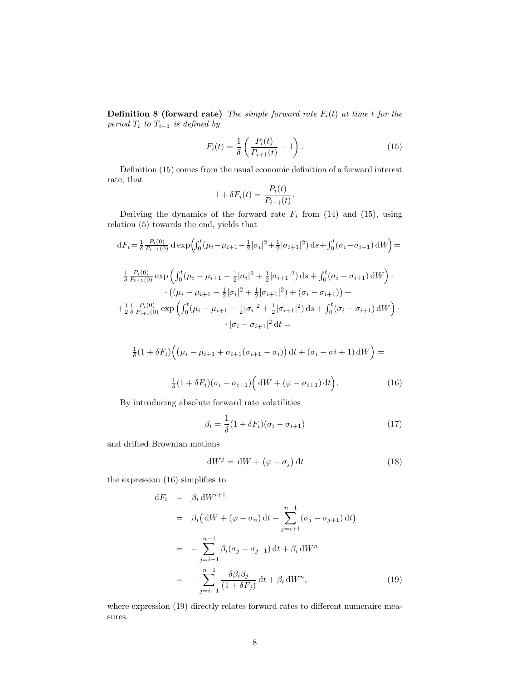**Definition 8 (forward rate)** The simple forward rate  $F_i(t)$  at time t for the period  $T_i$  to  $T_{i+1}$  is defined by

$$
F_i(t) = \frac{1}{\delta} \left( \frac{P_i(t)}{P_{i+1}(t)} - 1 \right).
$$
 (15)

Definition (15) comes from the usual economic definition of a forward interest rate, that

$$
1 + \delta F_i(t) = \frac{P_i(t)}{P_{i+1}(t)}.
$$

Deriving the dynamics of the forward rate  $F_i$  from (14) and (15), using relation (5) towards the end, yields that

$$
dF_i = \frac{1}{\delta} \frac{P_i(0)}{P_{i+1}(0)} d \exp \left( \int_0^t (\mu_i - \mu_{i+1} - \frac{1}{2} |\sigma_i|^2 + \frac{1}{2} |\sigma_{i+1}|^2) ds + \int_0^t (\sigma_i - \sigma_{i+1}) dW \right) =
$$
  

$$
\frac{1}{\delta} \frac{P_i(0)}{P_{i+1}(0)} \exp \left( \int_0^t (\mu_i - \mu_{i+1} - \frac{1}{2} |\sigma_i|^2 + \frac{1}{2} |\sigma_{i+1}|^2) ds + \int_0^t (\sigma_i - \sigma_{i+1}) dW \right) \cdot \left( (\mu_i - \mu_{i+1} - \frac{1}{2} |\sigma_i|^2 + \frac{1}{2} |\sigma_{i+1}|^2) + (\sigma_i - \sigma_{i+1}) \right) +
$$
  

$$
+ \frac{1}{2} \frac{1}{\delta} \frac{P_i(0)}{P_{i+1}(0)} \exp \left( \int_0^t (\mu_i - \mu_{i+1} - \frac{1}{2} |\sigma_i|^2 + \frac{1}{2} |\sigma_{i+1}|^2) ds + \int_0^t (\sigma_i - \sigma_{i+1}) dW \right) \cdot \left| \sigma_i - \sigma_{i+1} \right|^2 dt =
$$

$$
\frac{1}{\delta}(1+\delta F_i)\Big(\big(\mu_i-\mu_{i+1}+\sigma_{i+1}(\sigma_{i+1}-\sigma_i)\big)\,\mathrm{d} t + (\sigma_i-\sigma_i+1)\,\mathrm{d} W\Big) =
$$

$$
\frac{1}{\delta}(1+\delta F_i)(\sigma_i-\sigma_{i+1})\Big(\mathrm{d}W+(\varphi-\sigma_{i+1})\,\mathrm{d}t\Big). \tag{16}
$$

By introducing absolute forward rate volatilities

$$
\beta_i = \frac{1}{\delta} (1 + \delta F_i)(\sigma_i - \sigma_{i+1})
$$
\n(17)

and drifted Brownian motions

$$
dW^j = dW + (\varphi - \sigma_j) dt
$$
 (18)

the expression (16) simplifies to

$$
dF_i = \beta_i dW^{i+1}
$$
  
\n
$$
= \beta_i (dW + (\varphi - \sigma_n) dt - \sum_{j=i+1}^{n-1} (\sigma_j - \sigma_{j+1}) dt)
$$
  
\n
$$
= -\sum_{j=i+1}^{n-1} \beta_i (\sigma_j - \sigma_{j+1}) dt + \beta_i dW^n
$$
  
\n
$$
= -\sum_{j=i+1}^{n-1} \frac{\delta \beta_i \beta_j}{(1 + \delta F_j)} dt + \beta_i dW^n,
$$
\n(19)

where expression (19) directly relates forward rates to different numeraire measures.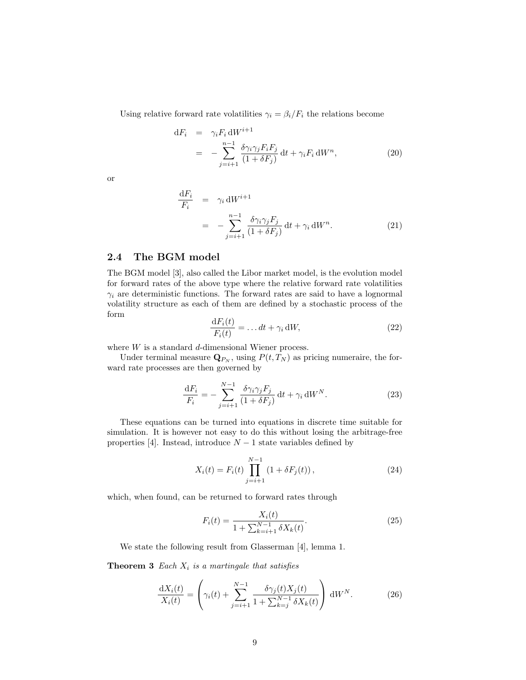Using relative forward rate volatilities  $\gamma_i = \beta_i / F_i$  the relations become

$$
dF_i = \gamma_i F_i dW^{i+1}
$$
  
= 
$$
-\sum_{j=i+1}^{n-1} \frac{\delta \gamma_i \gamma_j F_i F_j}{(1+\delta F_j)} dt + \gamma_i F_i dW^n,
$$
 (20)

or

$$
\frac{dF_i}{F_i} = \gamma_i dW^{i+1}
$$
\n
$$
= -\sum_{j=i+1}^{n-1} \frac{\delta \gamma_i \gamma_j F_j}{(1 + \delta F_j)} dt + \gamma_i dW^n.
$$
\n(21)

#### 2.4 The BGM model

The BGM model [3], also called the Libor market model, is the evolution model for forward rates of the above type where the relative forward rate volatilities  $\gamma_i$  are deterministic functions. The forward rates are said to have a lognormal volatility structure as each of them are defined by a stochastic process of the form

$$
\frac{\mathrm{d}F_i(t)}{F_i(t)} = \dots dt + \gamma_i \,\mathrm{d}W,\tag{22}
$$

where  $W$  is a standard  $d$ -dimensional Wiener process.

Under terminal measure  $\mathbf{Q}_{P_N}$ , using  $P(t,T_N)$  as pricing numeraire, the forward rate processes are then governed by

$$
\frac{\mathrm{d}F_i}{F_i} = -\sum_{j=i+1}^{N-1} \frac{\delta \gamma_i \gamma_j F_j}{(1+\delta F_j)} \,\mathrm{d}t + \gamma_i \,\mathrm{d}W^N. \tag{23}
$$

These equations can be turned into equations in discrete time suitable for simulation. It is however not easy to do this without losing the arbitrage-free properties [4]. Instead, introduce  $N-1$  state variables defined by

$$
X_i(t) = F_i(t) \prod_{j=i+1}^{N-1} (1 + \delta F_j(t)),
$$
\n(24)

which, when found, can be returned to forward rates through

$$
F_i(t) = \frac{X_i(t)}{1 + \sum_{k=i+1}^{N-1} \delta X_k(t)}.\tag{25}
$$

We state the following result from Glasserman [4], lemma 1.

**Theorem 3** Each  $X_i$  is a martingale that satisfies

$$
\frac{\mathrm{d}X_i(t)}{X_i(t)} = \left(\gamma_i(t) + \sum_{j=i+1}^{N-1} \frac{\delta \gamma_j(t) X_j(t)}{1 + \sum_{k=j}^{N-1} \delta X_k(t)}\right) \mathrm{d}W^N. \tag{26}
$$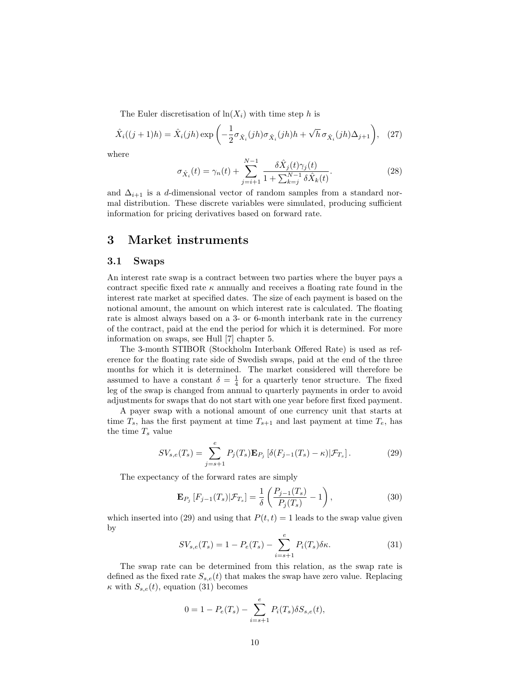The Euler discretisation of  $ln(X_i)$  with time step h is

$$
\hat{X}_i((j+1)h) = \hat{X}_i(jh) \exp\left(-\frac{1}{2}\sigma_{\hat{X}_i}(jh)\sigma_{\hat{X}_i}(jh)h + \sqrt{h}\sigma_{\hat{X}_i}(jh)\Delta_{j+1}\right), \quad (27)
$$

where

$$
\sigma_{\hat{X}_i}(t) = \gamma_n(t) + \sum_{j=i+1}^{N-1} \frac{\delta \hat{X}_j(t)\gamma_j(t)}{1 + \sum_{k=j}^{N-1} \delta \hat{X}_k(t)}.
$$
\n(28)

and  $\Delta_{i+1}$  is a d-dimensional vector of random samples from a standard normal distribution. These discrete variables were simulated, producing sufficient information for pricing derivatives based on forward rate.

## 3 Market instruments

#### 3.1 Swaps

An interest rate swap is a contract between two parties where the buyer pays a contract specific fixed rate  $\kappa$  annually and receives a floating rate found in the interest rate market at specified dates. The size of each payment is based on the notional amount, the amount on which interest rate is calculated. The floating rate is almost always based on a 3- or 6-month interbank rate in the currency of the contract, paid at the end the period for which it is determined. For more information on swaps, see Hull [7] chapter 5.

The 3-month STIBOR (Stockholm Interbank Offered Rate) is used as reference for the floating rate side of Swedish swaps, paid at the end of the three months for which it is determined. The market considered will therefore be assumed to have a constant  $\delta = \frac{1}{4}$  for a quarterly tenor structure. The fixed leg of the swap is changed from annual to quarterly payments in order to avoid adjustments for swaps that do not start with one year before first fixed payment.

A payer swap with a notional amount of one currency unit that starts at time  $T_s$ , has the first payment at time  $T_{s+1}$  and last payment at time  $T_e$ , has the time  $T_s$  value

$$
SV_{s,e}(T_s) = \sum_{j=s+1}^{e} P_j(T_s) \mathbf{E}_{P_j} \left[ \delta(F_{j-1}(T_s) - \kappa) | \mathcal{F}_{T_s} \right]. \tag{29}
$$

The expectancy of the forward rates are simply

$$
\mathbf{E}_{P_j}\left[F_{j-1}(T_s)|\mathcal{F}_{T_s}\right] = \frac{1}{\delta} \left(\frac{P_{j-1}(T_s)}{P_j(T_s)} - 1\right),\tag{30}
$$

which inserted into (29) and using that  $P(t, t) = 1$  leads to the swap value given by

$$
SV_{s,e}(T_s) = 1 - P_e(T_s) - \sum_{i=s+1}^{e} P_i(T_s)\delta\kappa.
$$
 (31)

The swap rate can be determined from this relation, as the swap rate is defined as the fixed rate  $S_{s,e}(t)$  that makes the swap have zero value. Replacing  $\kappa$  with  $S_{s,e}(t)$ , equation (31) becomes

$$
0 = 1 - P_e(T_s) - \sum_{i=s+1}^{e} P_i(T_s) \delta S_{s,e}(t),
$$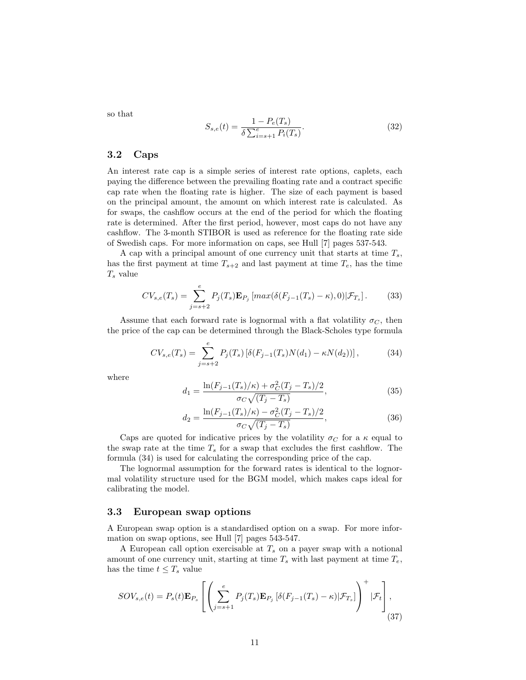so that

$$
S_{s,e}(t) = \frac{1 - P_e(T_s)}{\delta \sum_{i=s+1}^e P_i(T_s)}.
$$
\n(32)

#### 3.2 Caps

An interest rate cap is a simple series of interest rate options, caplets, each paying the difference between the prevailing floating rate and a contract specific cap rate when the floating rate is higher. The size of each payment is based on the principal amount, the amount on which interest rate is calculated. As for swaps, the cashflow occurs at the end of the period for which the floating rate is determined. After the first period, however, most caps do not have any cashflow. The 3-month STIBOR is used as reference for the floating rate side of Swedish caps. For more information on caps, see Hull [7] pages 537-543.

A cap with a principal amount of one currency unit that starts at time  $T_s$ , has the first payment at time  $T_{s+2}$  and last payment at time  $T_e$ , has the time  $T_s$  value

$$
CV_{s,e}(T_s) = \sum_{j=s+2}^{e} P_j(T_s) \mathbf{E}_{P_j} \left[ max(\delta(F_{j-1}(T_s) - \kappa), 0) | \mathcal{F}_{T_s} \right].
$$
 (33)

Assume that each forward rate is lognormal with a flat volatility  $\sigma_C$ , then the price of the cap can be determined through the Black-Scholes type formula

$$
CV_{s,e}(T_s) = \sum_{j=s+2}^{e} P_j(T_s) \left[ \delta(F_{j-1}(T_s)N(d_1) - \kappa N(d_2)) \right],
$$
 (34)

where

$$
d_1 = \frac{\ln(F_{j-1}(T_s)/\kappa) + \sigma_C^2 (T_j - T_s)/2}{\sigma_C \sqrt{(T_j - T_s)}},
$$
\n(35)

$$
d_2 = \frac{\ln(F_{j-1}(T_s)/\kappa) - \sigma_C^2 (T_j - T_s)/2}{\sigma_C \sqrt{(T_j - T_s)}},
$$
\n(36)

Caps are quoted for indicative prices by the volatility  $\sigma_C$  for a  $\kappa$  equal to the swap rate at the time  $T_s$  for a swap that excludes the first cashflow. The formula (34) is used for calculating the corresponding price of the cap.

The lognormal assumption for the forward rates is identical to the lognormal volatility structure used for the BGM model, which makes caps ideal for calibrating the model.

#### 3.3 European swap options

A European swap option is a standardised option on a swap. For more information on swap options, see Hull [7] pages 543-547.

A European call option exercisable at  $T_s$  on a payer swap with a notional amount of one currency unit, starting at time  $T_s$  with last payment at time  $T_e$ , has the time  $t \leq T_s$  value

$$
SOV_{s,e}(t) = P_s(t)\mathbf{E}_{P_s} \left[ \left( \sum_{j=s+1}^{e} P_j(T_s)\mathbf{E}_{P_j} \left[ \delta(F_{j-1}(T_s) - \kappa) | \mathcal{F}_{T_s} \right] \right)^{+} | \mathcal{F}_t \right],
$$
\n(37)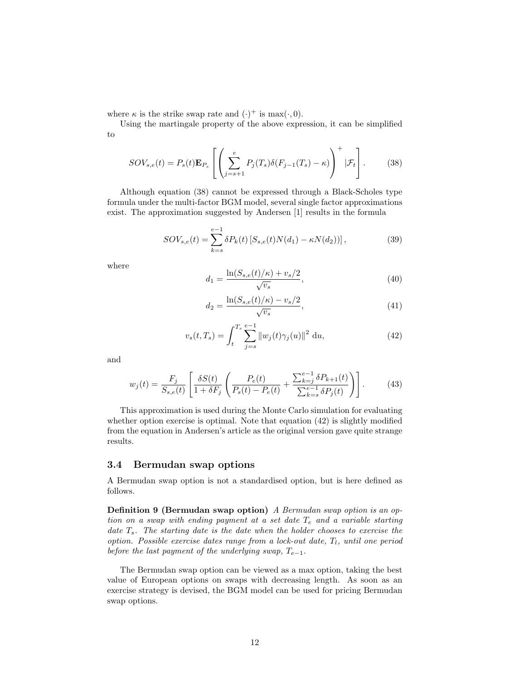where  $\kappa$  is the strike swap rate and  $(\cdot)^+$  is max $(\cdot, 0)$ .

Using the martingale property of the above expression, it can be simplified to

$$
SOV_{s,e}(t) = P_s(t)\mathbf{E}_{P_s}\left[\left(\sum_{j=s+1}^e P_j(T_s)\delta(F_{j-1}(T_s) - \kappa)\right)^+ | \mathcal{F}_t\right].
$$
 (38)

Although equation (38) cannot be expressed through a Black-Scholes type formula under the multi-factor BGM model, several single factor approximations exist. The approximation suggested by Andersen [1] results in the formula

$$
SOV_{s,e}(t) = \sum_{k=s}^{e-1} \delta P_k(t) \left[ S_{s,e}(t) N(d_1) - \kappa N(d_2) \right],
$$
 (39)

where

$$
d_1 = \frac{\ln(S_{s,e}(t)/\kappa) + v_s/2}{\sqrt{v_s}},
$$
\n(40)

$$
d_2 = \frac{\ln(S_{s,e}(t)/\kappa) - v_s/2}{\sqrt{v_s}},\tag{41}
$$

$$
v_s(t, T_s) = \int_t^{T_s} \sum_{j=s}^{e-1} ||w_j(t)\gamma_j(u)||^2 \, \mathrm{d}u,\tag{42}
$$

and

$$
w_j(t) = \frac{F_j}{S_{s,e}(t)} \left[ \frac{\delta S(t)}{1 + \delta F_j} \left( \frac{P_e(t)}{P_s(t) - P_e(t)} + \frac{\sum_{k=j}^{e-1} \delta P_{k+1}(t)}{\sum_{k=s}^{e-1} \delta P_j(t)} \right) \right].
$$
 (43)

This approximation is used during the Monte Carlo simulation for evaluating whether option exercise is optimal. Note that equation  $(42)$  is slightly modified from the equation in Andersen's article as the original version gave quite strange results.

#### 3.4 Bermudan swap options

A Bermudan swap option is not a standardised option, but is here defined as follows.

Definition 9 (Bermudan swap option) A Bermudan swap option is an option on a swap with ending payment at a set date  $T_e$  and a variable starting date  $T_s$ . The starting date is the date when the holder chooses to exercise the option. Possible exercise dates range from a lock-out date,  $T_l$ , until one period before the last payment of the underlying swap,  $T_{e-1}$ .

The Bermudan swap option can be viewed as a max option, taking the best value of European options on swaps with decreasing length. As soon as an exercise strategy is devised, the BGM model can be used for pricing Bermudan swap options.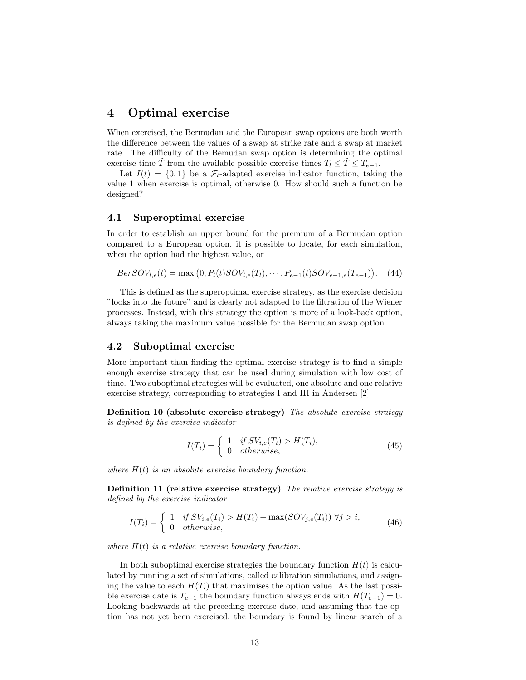## 4 Optimal exercise

When exercised, the Bermudan and the European swap options are both worth the difference between the values of a swap at strike rate and a swap at market rate. The difficulty of the Bemudan swap option is determining the optimal exercise time T from the available possible exercise times  $T_l \leq T \leq T_{e-1}$ .

Let  $I(t) = \{0, 1\}$  be a  $\mathcal{F}_t$ -adapted exercise indicator function, taking the value 1 when exercise is optimal, otherwise 0. How should such a function be designed?

#### 4.1 Superoptimal exercise

In order to establish an upper bound for the premium of a Bermudan option compared to a European option, it is possible to locate, for each simulation, when the option had the highest value, or

 $BerSOV_{l,e}(t) = \max(0, P_l(t)SOV_{l,e}(T_l), \cdots, P_{e-1}(t)SOV_{e-1,e}(T_{e-1}))$ ¢  $(44)$ 

This is defined as the superoptimal exercise strategy, as the exercise decision "looks into the future" and is clearly not adapted to the filtration of the Wiener processes. Instead, with this strategy the option is more of a look-back option, always taking the maximum value possible for the Bermudan swap option.

#### 4.2 Suboptimal exercise

More important than finding the optimal exercise strategy is to find a simple enough exercise strategy that can be used during simulation with low cost of time. Two suboptimal strategies will be evaluated, one absolute and one relative exercise strategy, corresponding to strategies I and III in Andersen [2]

Definition 10 (absolute exercise strategy) The absolute exercise strategy is defined by the exercise indicator

$$
I(T_i) = \begin{cases} 1 & \text{if } SV_{i,e}(T_i) > H(T_i), \\ 0 & \text{otherwise,} \end{cases}
$$
(45)

where  $H(t)$  is an absolute exercise boundary function.

Definition 11 (relative exercise strategy) The relative exercise strategy is defined by the exercise indicator

$$
I(T_i) = \begin{cases} 1 & \text{if } SV_{i,e}(T_i) > H(T_i) + \max(SOV_{j,e}(T_i)) \ \forall j > i, \\ 0 & \text{otherwise,} \end{cases}
$$
(46)

where  $H(t)$  is a relative exercise boundary function.

In both suboptimal exercise strategies the boundary function  $H(t)$  is calculated by running a set of simulations, called calibration simulations, and assigning the value to each  $H(T_i)$  that maximises the option value. As the last possible exercise date is  $T_{e-1}$  the boundary function always ends with  $H(T_{e-1}) = 0$ . Looking backwards at the preceding exercise date, and assuming that the option has not yet been exercised, the boundary is found by linear search of a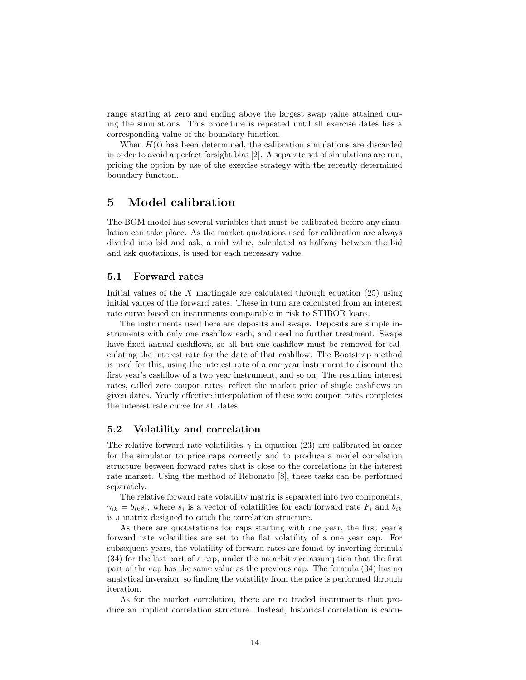range starting at zero and ending above the largest swap value attained during the simulations. This procedure is repeated until all exercise dates has a corresponding value of the boundary function.

When  $H(t)$  has been determined, the calibration simulations are discarded in order to avoid a perfect forsight bias [2]. A separate set of simulations are run, pricing the option by use of the exercise strategy with the recently determined boundary function.

## 5 Model calibration

The BGM model has several variables that must be calibrated before any simulation can take place. As the market quotations used for calibration are always divided into bid and ask, a mid value, calculated as halfway between the bid and ask quotations, is used for each necessary value.

#### 5.1 Forward rates

Initial values of the  $X$  martingale are calculated through equation  $(25)$  using initial values of the forward rates. These in turn are calculated from an interest rate curve based on instruments comparable in risk to STIBOR loans.

The instruments used here are deposits and swaps. Deposits are simple instruments with only one cashflow each, and need no further treatment. Swaps have fixed annual cashflows, so all but one cashflow must be removed for calculating the interest rate for the date of that cashflow. The Bootstrap method is used for this, using the interest rate of a one year instrument to discount the first year's cashflow of a two year instrument, and so on. The resulting interest rates, called zero coupon rates, reflect the market price of single cashflows on given dates. Yearly effective interpolation of these zero coupon rates completes the interest rate curve for all dates.

#### 5.2 Volatility and correlation

The relative forward rate volatilities  $\gamma$  in equation (23) are calibrated in order for the simulator to price caps correctly and to produce a model correlation structure between forward rates that is close to the correlations in the interest rate market. Using the method of Rebonato [8], these tasks can be performed separately.

The relative forward rate volatility matrix is separated into two components,  $\gamma_{ik} = b_{ik} s_i$ , where  $s_i$  is a vector of volatilities for each forward rate  $F_i$  and  $b_{ik}$ is a matrix designed to catch the correlation structure.

As there are quotatations for caps starting with one year, the first year's forward rate volatilities are set to the flat volatility of a one year cap. For subsequent years, the volatility of forward rates are found by inverting formula (34) for the last part of a cap, under the no arbitrage assumption that the first part of the cap has the same value as the previous cap. The formula (34) has no analytical inversion, so finding the volatility from the price is performed through iteration.

As for the market correlation, there are no traded instruments that produce an implicit correlation structure. Instead, historical correlation is calcu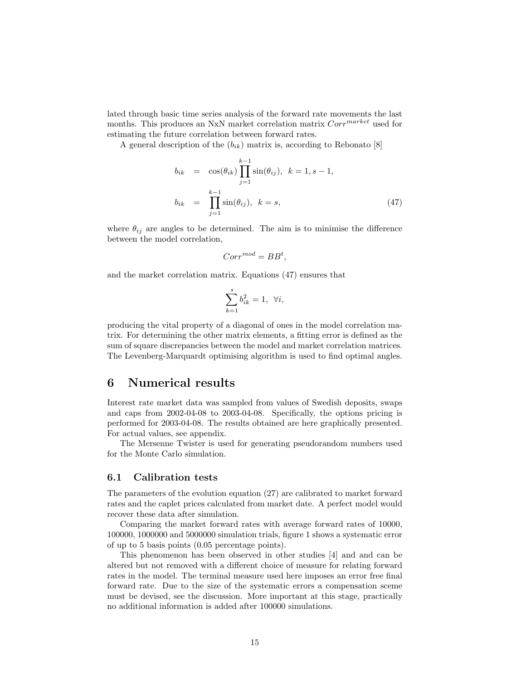lated through basic time series analysis of the forward rate movements the last months. This produces an NxN market correlation matrix  $Corr<sup>market</sup>$  used for estimating the future correlation between forward rates.

A general description of the  $(b_{ik})$  matrix is, according to Rebonato [8]

$$
b_{ik} = \cos(\theta_{ik}) \prod_{j=1}^{k-1} \sin(\theta_{ij}), \quad k = 1, s - 1,
$$
  

$$
b_{ik} = \prod_{j=1}^{k-1} \sin(\theta_{ij}), \quad k = s,
$$
 (47)

where  $\theta_{ij}$  are angles to be determined. The aim is to minimise the difference between the model correlation,

$$
Corr^{mod} = BB^t,
$$

and the market correlation matrix. Equations (47) ensures that

$$
\sum_{k=1}^{s} b_{ik}^2 = 1, \ \forall i,
$$

producing the vital property of a diagonal of ones in the model correlation matrix. For determining the other matrix elements, a fitting error is defined as the sum of square discrepancies between the model and market correlation matrices. The Levenberg-Marquardt optimising algorithm is used to find optimal angles.

### 6 Numerical results

Interest rate market data was sampled from values of Swedish deposits, swaps and caps from 2002-04-08 to 2003-04-08. Specifically, the options pricing is performed for 2003-04-08. The results obtained are here graphically presented. For actual values, see appendix.

The Mersenne Twister is used for generating pseudorandom numbers used for the Monte Carlo simulation.

#### 6.1 Calibration tests

The parameters of the evolution equation (27) are calibrated to market forward rates and the caplet prices calculated from market date. A perfect model would recover these data after simulation.

Comparing the market forward rates with average forward rates of 10000, 100000, 1000000 and 5000000 simulation trials, figure 1 shows a systematic error of up to 5 basis points (0.05 percentage points).

This phenomenon has been observed in other studies [4] and and can be altered but not removed with a different choice of measure for relating forward rates in the model. The terminal measure used here imposes an error free final forward rate. Due to the size of the systematic errors a compensation sceme must be devised, see the discussion. More important at this stage, practically no additional information is added after 100000 simulations.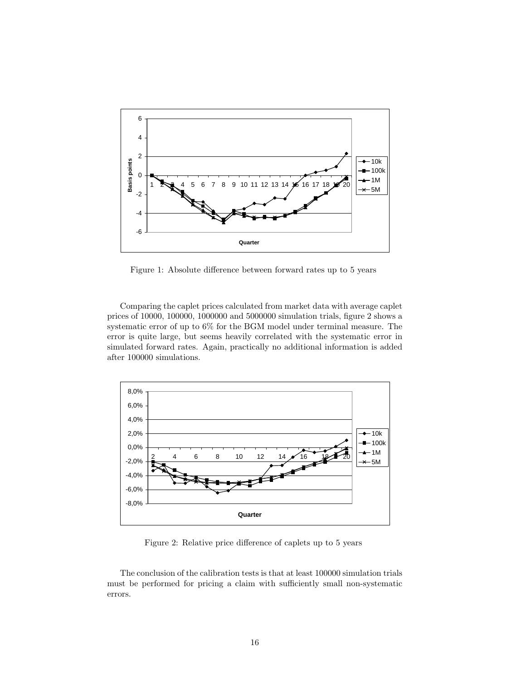

Figure 1: Absolute difference between forward rates up to 5 years

Comparing the caplet prices calculated from market data with average caplet prices of 10000, 100000, 1000000 and 5000000 simulation trials, figure 2 shows a systematic error of up to 6% for the BGM model under terminal measure. The error is quite large, but seems heavily correlated with the systematic error in simulated forward rates. Again, practically no additional information is added after 100000 simulations.



Figure 2: Relative price difference of caplets up to 5 years

The conclusion of the calibration tests is that at least 100000 simulation trials must be performed for pricing a claim with sufficiently small non-systematic errors.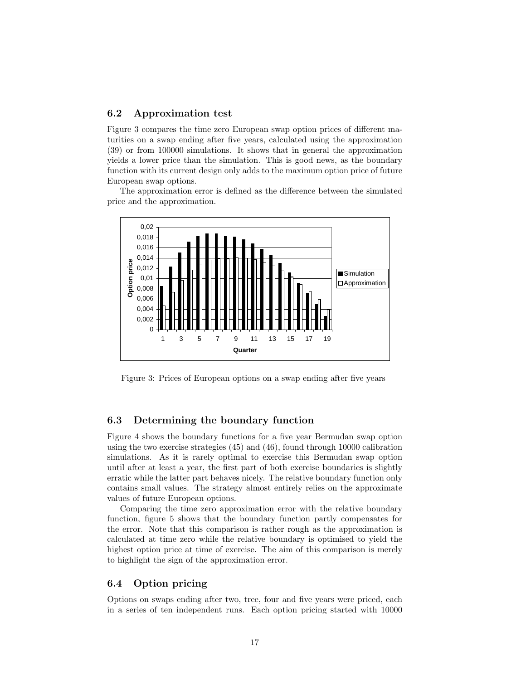#### 6.2 Approximation test

Figure 3 compares the time zero European swap option prices of different maturities on a swap ending after five years, calculated using the approximation (39) or from 100000 simulations. It shows that in general the approximation yields a lower price than the simulation. This is good news, as the boundary function with its current design only adds to the maximum option price of future European swap options.

The approximation error is defined as the difference between the simulated price and the approximation.



Figure 3: Prices of European options on a swap ending after five years

#### 6.3 Determining the boundary function

Figure 4 shows the boundary functions for a five year Bermudan swap option using the two exercise strategies (45) and (46), found through 10000 calibration simulations. As it is rarely optimal to exercise this Bermudan swap option until after at least a year, the first part of both exercise boundaries is slightly erratic while the latter part behaves nicely. The relative boundary function only contains small values. The strategy almost entirely relies on the approximate values of future European options.

Comparing the time zero approximation error with the relative boundary function, figure 5 shows that the boundary function partly compensates for the error. Note that this comparison is rather rough as the approximation is calculated at time zero while the relative boundary is optimised to yield the highest option price at time of exercise. The aim of this comparison is merely to highlight the sign of the approximation error.

#### 6.4 Option pricing

Options on swaps ending after two, tree, four and five years were priced, each in a series of ten independent runs. Each option pricing started with 10000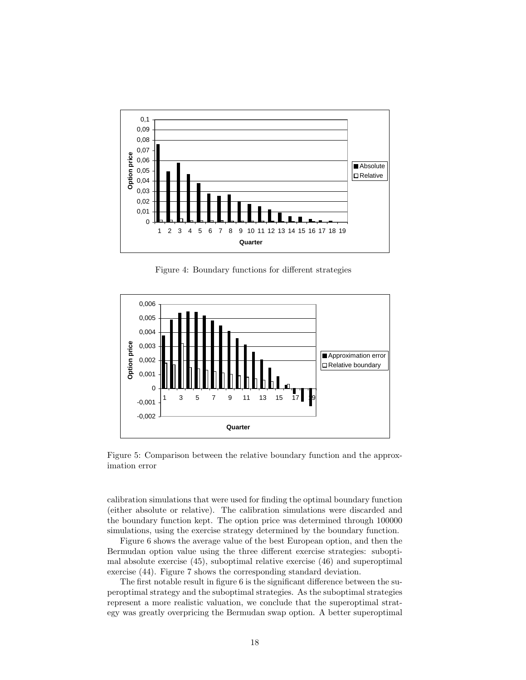

Figure 4: Boundary functions for different strategies



Figure 5: Comparison between the relative boundary function and the approximation error

calibration simulations that were used for finding the optimal boundary function (either absolute or relative). The calibration simulations were discarded and the boundary function kept. The option price was determined through 100000 simulations, using the exercise strategy determined by the boundary function.

Figure 6 shows the average value of the best European option, and then the Bermudan option value using the three different exercise strategies: suboptimal absolute exercise (45), suboptimal relative exercise (46) and superoptimal exercise (44). Figure 7 shows the corresponding standard deviation.

The first notable result in figure 6 is the significant difference between the superoptimal strategy and the suboptimal strategies. As the suboptimal strategies represent a more realistic valuation, we conclude that the superoptimal strategy was greatly overpricing the Bermudan swap option. A better superoptimal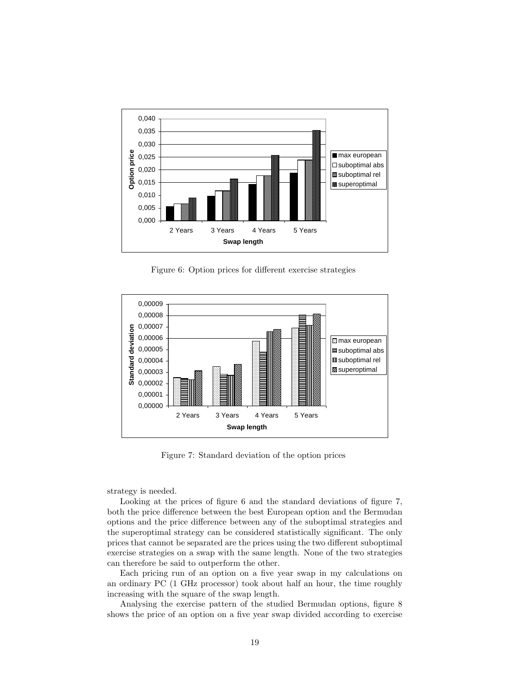

Figure 6: Option prices for different exercise strategies



Figure 7: Standard deviation of the option prices

strategy is needed.

Looking at the prices of figure 6 and the standard deviations of figure 7, both the price difference between the best European option and the Bermudan options and the price difference between any of the suboptimal strategies and the superoptimal strategy can be considered statistically significant. The only prices that cannot be separated are the prices using the two different suboptimal exercise strategies on a swap with the same length. None of the two strategies can therefore be said to outperform the other.

Each pricing run of an option on a five year swap in my calculations on an ordinary PC (1 GHz processor) took about half an hour, the time roughly increasing with the square of the swap length.

Analysing the exercise pattern of the studied Bermudan options, figure 8 shows the price of an option on a five year swap divided according to exercise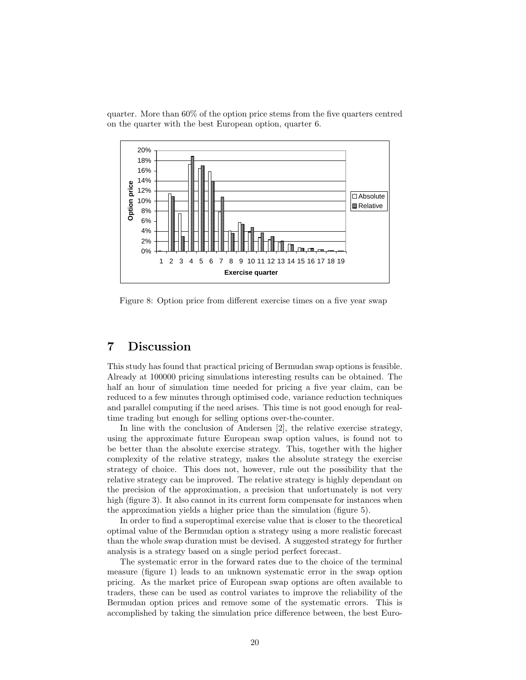quarter. More than 60% of the option price stems from the five quarters centred on the quarter with the best European option, quarter 6.



Figure 8: Option price from different exercise times on a five year swap

## 7 Discussion

This study has found that practical pricing of Bermudan swap options is feasible. Already at 100000 pricing simulations interesting results can be obtained. The half an hour of simulation time needed for pricing a five year claim, can be reduced to a few minutes through optimised code, variance reduction techniques and parallel computing if the need arises. This time is not good enough for realtime trading but enough for selling options over-the-counter.

In line with the conclusion of Andersen [2], the relative exercise strategy, using the approximate future European swap option values, is found not to be better than the absolute exercise strategy. This, together with the higher complexity of the relative strategy, makes the absolute strategy the exercise strategy of choice. This does not, however, rule out the possibility that the relative strategy can be improved. The relative strategy is highly dependant on the precision of the approximation, a precision that unfortunately is not very high (figure 3). It also cannot in its current form compensate for instances when the approximation yields a higher price than the simulation (figure 5).

In order to find a superoptimal exercise value that is closer to the theoretical optimal value of the Bermudan option a strategy using a more realistic forecast than the whole swap duration must be devised. A suggested strategy for further analysis is a strategy based on a single period perfect forecast.

The systematic error in the forward rates due to the choice of the terminal measure (figure 1) leads to an unknown systematic error in the swap option pricing. As the market price of European swap options are often available to traders, these can be used as control variates to improve the reliability of the Bermudan option prices and remove some of the systematic errors. This is accomplished by taking the simulation price difference between, the best Euro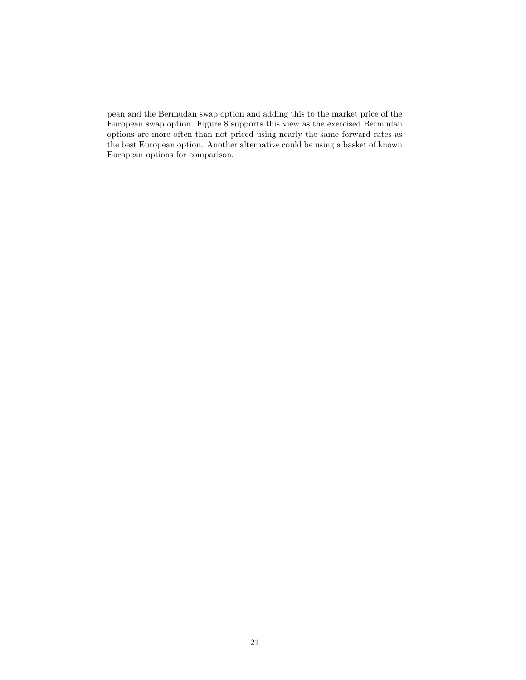pean and the Bermudan swap option and adding this to the market price of the European swap option. Figure 8 supports this view as the exercised Bermudan options are more often than not priced using nearly the same forward rates as the best European option. Another alternative could be using a basket of known European options for comparison.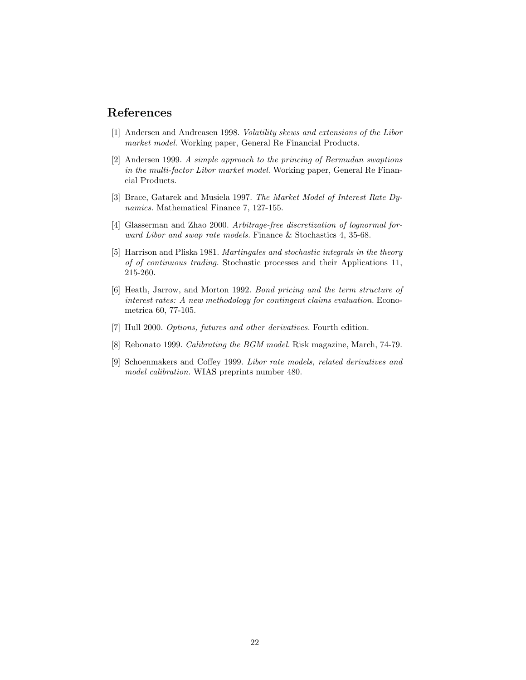## References

- [1] Andersen and Andreasen 1998. Volatility skews and extensions of the Libor market model. Working paper, General Re Financial Products.
- [2] Andersen 1999. A simple approach to the princing of Bermudan swaptions in the multi-factor Libor market model. Working paper, General Re Financial Products.
- [3] Brace, Gatarek and Musiela 1997. The Market Model of Interest Rate Dynamics. Mathematical Finance 7, 127-155.
- [4] Glasserman and Zhao 2000. Arbitrage-free discretization of lognormal forward Libor and swap rate models. Finance & Stochastics 4, 35-68.
- [5] Harrison and Pliska 1981. Martingales and stochastic integrals in the theory of of continuous trading. Stochastic processes and their Applications 11, 215-260.
- [6] Heath, Jarrow, and Morton 1992. Bond pricing and the term structure of interest rates: A new methodology for contingent claims evaluation. Econometrica 60, 77-105.
- [7] Hull 2000. Options, futures and other derivatives. Fourth edition.
- [8] Rebonato 1999. Calibrating the BGM model. Risk magazine, March, 74-79.
- [9] Schoenmakers and Coffey 1999. Libor rate models, related derivatives and model calibration. WIAS preprints number 480.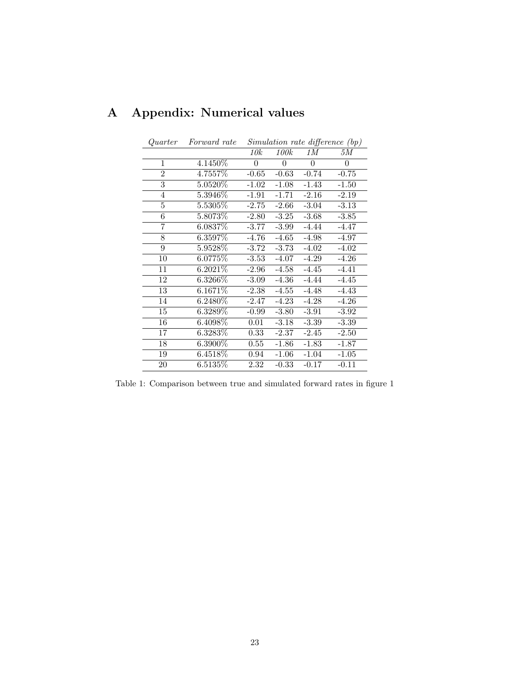| Quarter        | Forward rate |          |          |          | Simulation rate difference (bp) |
|----------------|--------------|----------|----------|----------|---------------------------------|
|                |              | 10k      | 100k     | 1 M      | 5М                              |
| $\mathbf{1}$   | 4.1450\%     | $\theta$ | $\theta$ | $\theta$ | $\Omega$                        |
| $\overline{2}$ | 4.7557%      | $-0.65$  | $-0.63$  | $-0.74$  | $-0.75$                         |
| 3              | 5.0520\%     | $-1.02$  | $-1.08$  | $-1.43$  | $-1.50$                         |
| 4              | $5.3946\%$   | $-1.91$  | $-1.71$  | $-2.16$  | $-2.19$                         |
| 5              | $5.5305\%$   | $-2.75$  | $-2.66$  | $-3.04$  | $-3.13$                         |
| 6              | 5.8073%      | $-2.80$  | $-3.25$  | $-3.68$  | $-3.85$                         |
| 7              | 6.0837%      | $-3.77$  | $-3.99$  | $-4.44$  | $-4.47$                         |
| 8              | 6.3597%      | $-4.76$  | $-4.65$  | $-4.98$  | $-4.97$                         |
| 9              | 5.9528\%     | $-3.72$  | $-3.73$  | $-4.02$  | $-4.02$                         |
| 10             | $6.0775\%$   | $-3.53$  | $-4.07$  | $-4.29$  | $-4.26$                         |
| 11             | 6.2021\%     | $-2.96$  | $-4.58$  | $-4.45$  | $-4.41$                         |
| 12             | $6.3266\%$   | $-3.09$  | $-4.36$  | $-4.44$  | $-4.45$                         |
| 13             | 6.1671%      | $-2.38$  | $-4.55$  | $-4.48$  | $-4.43$                         |
| 14             | 6.2480\%     | $-2.47$  | $-4.23$  | $-4.28$  | $-4.26$                         |
| 15             | $6.3289\%$   | $-0.99$  | $-3.80$  | $-3.91$  | $-3.92$                         |
| 16             | $6.4098\%$   | 0.01     | $-3.18$  | $-3.39$  | $-3.39$                         |
| 17             | $6.3283\%$   | 0.33     | $-2.37$  | $-2.45$  | $-2.50$                         |
| 18             | $6.3900\%$   | 0.55     | $-1.86$  | $-1.83$  | $-1.87$                         |
| 19             | $6.4518\%$   | 0.94     | $-1.06$  | $-1.04$  | $-1.05$                         |
| 20             | 6.5135%      | 2.32     | $-0.33$  | $-0.17$  | $-0.11$                         |

# A Appendix: Numerical values

Table 1: Comparison between true and simulated forward rates in figure 1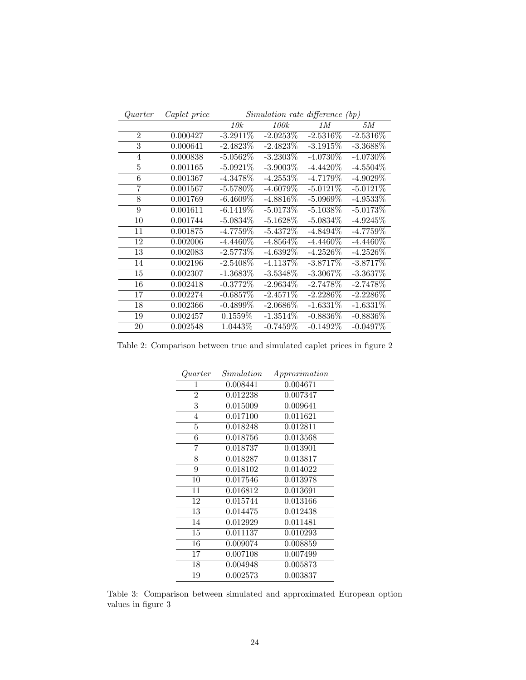| Quarter        | Caplet price | $Simulation\ rate\ difference\ (bp)$ |             |             |             |
|----------------|--------------|--------------------------------------|-------------|-------------|-------------|
|                |              | 10k                                  | <i>100k</i> | 1 M         | 5M          |
| $\overline{2}$ | 0.000427     | $-3.2911\%$                          | $-2.0253\%$ | $-2.5316\%$ | $-2.5316\%$ |
| 3              | 0.000641     | $-2.4823\%$                          | $-2.4823\%$ | $-3.1915%$  | $-3.3688\%$ |
| $\overline{4}$ | 0.000838     | $-5.0562\%$                          | $-3.2303\%$ | $-4.0730\%$ | $-4.0730\%$ |
| 5              | 0.001165     | $-5.0921\%$                          | $-3.9003\%$ | $-4.4420\%$ | $-4.5504\%$ |
| 6              | 0.001367     | $-4.3478\%$                          | $-4.2553\%$ | $-4.7179%$  | $-4.9029\%$ |
| $\overline{7}$ | 0.001567     | $-5.5780\%$                          | $-4.6079\%$ | $-5.0121\%$ | $-5.0121\%$ |
| 8              | 0.001769     | $-6.4609\%$                          | $-4.8816\%$ | $-5.0969\%$ | $-4.9533\%$ |
| 9              | 0.001611     | $-6.1419\%$                          | $-5.0173%$  | $-5.1038\%$ | $-5.0173\%$ |
| 10             | 0.001744     | $-5.0834\%$                          | $-5.1628\%$ | $-5.0834\%$ | $-4.9245\%$ |
| 11             | 0.001875     | $-4.7759\%$                          | $-5.4372\%$ | $-4.8494\%$ | $-4.7759\%$ |
| 12             | 0.002006     | $-4.4460\%$                          | $-4.8564\%$ | $-4.4460\%$ | $-4.4460\%$ |
| 13             | 0.002083     | $-2.5773%$                           | $-4.6392\%$ | $-4.2526\%$ | $-4.2526\%$ |
| 14             | 0.002196     | $-2.5408\%$                          | $-4.1137\%$ | $-3.8717\%$ | $-3.8717%$  |
| 15             | 0.002307     | $-1.3683\%$                          | $-3.5348\%$ | $-3.3067\%$ | $-3.3637\%$ |
| 16             | 0.002418     | $-0.3772\%$                          | $-2.9634\%$ | $-2.7478\%$ | $-2.7478\%$ |
| 17             | 0.002274     | $-0.6857\%$                          | $-2.4571\%$ | $-2.2286\%$ | $-2.2286\%$ |
| 18             | 0.002366     | $-0.4899\%$                          | $-2.0686\%$ | $-1.6331\%$ | $-1.6331\%$ |
| 19             | 0.002457     | 0.1559\%                             | $-1.3514\%$ | $-0.8836\%$ | $-0.8836\%$ |
| 20             | 0.002548     | 1.0443\%                             | $-0.7459\%$ | $-0.1492\%$ | $-0.0497\%$ |

Table 2: Comparison between true and simulated caplet prices in figure 2

| Quarter        | Simulation | Approximation |
|----------------|------------|---------------|
| 1              | 0.008441   | 0.004671      |
| $\overline{2}$ | 0.012238   | 0.007347      |
| 3              | 0.015009   | 0.009641      |
| $\overline{4}$ | 0.017100   | 0.011621      |
| $\overline{5}$ | 0.018248   | 0.012811      |
| 6              | 0.018756   | 0.013568      |
| 7              | 0.018737   | 0.013901      |
| 8              | 0.018287   | 0.013817      |
| 9              | 0.018102   | 0.014022      |
| 10             | 0.017546   | 0.013978      |
| 11             | 0.016812   | 0.013691      |
| 12             | 0.015744   | 0.013166      |
| 13             | 0.014475   | 0.012438      |
| 14             | 0.012929   | 0.011481      |
| 15             | 0.011137   | 0.010293      |
| 16             | 0.009074   | 0.008859      |
| 17             | 0.007108   | 0.007499      |
| 18             | 0.004948   | 0.005873      |
| 19             | 0.002573   | 0.003837      |
|                |            |               |

Table 3: Comparison between simulated and approximated European option values in figure 3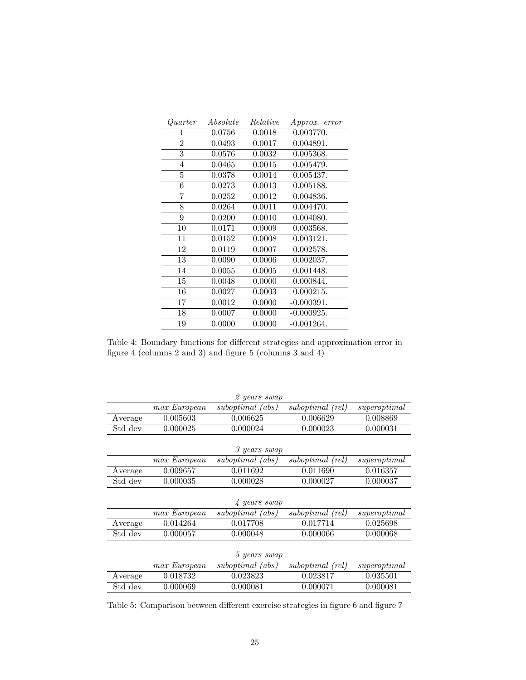| Quarter          | Absolute | Relative | Approx. error |
|------------------|----------|----------|---------------|
| 1                | 0.0756   | 0.0018   | 0.003770.     |
| $\boldsymbol{2}$ | 0.0493   | 0.0017   | 0.004891.     |
| 3                | 0.0576   | 0.0032   | 0.005368.     |
| $\overline{4}$   | 0.0465   | 0.0015   | 0.005479.     |
| $\bf 5$          | 0.0378   | 0.0014   | 0.005437.     |
| $\overline{6}$   | 0.0273   | 0.0013   | 0.005188.     |
| 7                | 0.0252   | 0.0012   | 0.004836.     |
| 8                | 0.0264   | 0.0011   | 0.004470.     |
| 9                | 0.0200   | 0.0010   | 0.004080.     |
| 10               | 0.0171   | 0.0009   | 0.003568.     |
| 11               | 0.0152   | 0.0008   | 0.003121.     |
| 12               | 0.0119   | 0.0007   | 0.002578.     |
| 13               | 0.0090   | 0.0006   | 0.002037.     |
| 14               | 0.0055   | 0.0005   | 0.001448.     |
| 15               | 0.0048   | 0.0000   | 0.000844.     |
| 16               | 0.0027   | 0.0003   | 0.000215.     |
| 17               | 0.0012   | 0.0000   | $-0.000391.$  |
| 18               | 0.0007   | 0.0000   | $-0.000925.$  |
| 19               | 0.0000   | 0.0000   | $-0.001264.$  |

Table 4: Boundary functions for different strategies and approximation error in figure 4 (columns 2 and 3) and figure 5 (columns 3 and 4)

|         |              | 2 years swap     |                  |              |
|---------|--------------|------------------|------------------|--------------|
|         | max European | suboptimal (abs) | suboptimal (rel) | superoptimal |
| Average | 0.005603     | 0.006625         | 0.006629         | 0.008869     |
| Std dev | 0.000025     | 0.000024         | 0.000023         | 0.000031     |
|         |              |                  |                  |              |
|         |              | 3 years swap     |                  |              |
|         | max European | suboptimal (abs) | suboptimal (rel) | superoptimal |
| Average | 0.009657     | 0.011692         | 0.011690         | 0.016357     |
| Std dev | 0.000035     | 0.000028         | 0.000027         | 0.000037     |
|         |              |                  |                  |              |
|         |              | 4 years swap     |                  |              |
|         | max European | suboptimal (abs) | suboptimal (rel) | superoptimal |
| Average | 0.014264     | 0.017708         | 0.017714         | 0.025698     |
| Std dev | 0.000057     | 0.000048         | 0.000066         | 0.000068     |
|         |              |                  |                  |              |
|         |              | 5 years swap     |                  |              |
|         | max European | suboptimal (abs) | suboptimal (rel) | superoptimal |
| Average | 0.018732     | 0.023823         | 0.023817         | 0.035501     |
| Std dev | 0.000069     | 0.000081         | 0.000071         | 0.000081     |

Table 5: Comparison between different exercise strategies in figure 6 and figure 7